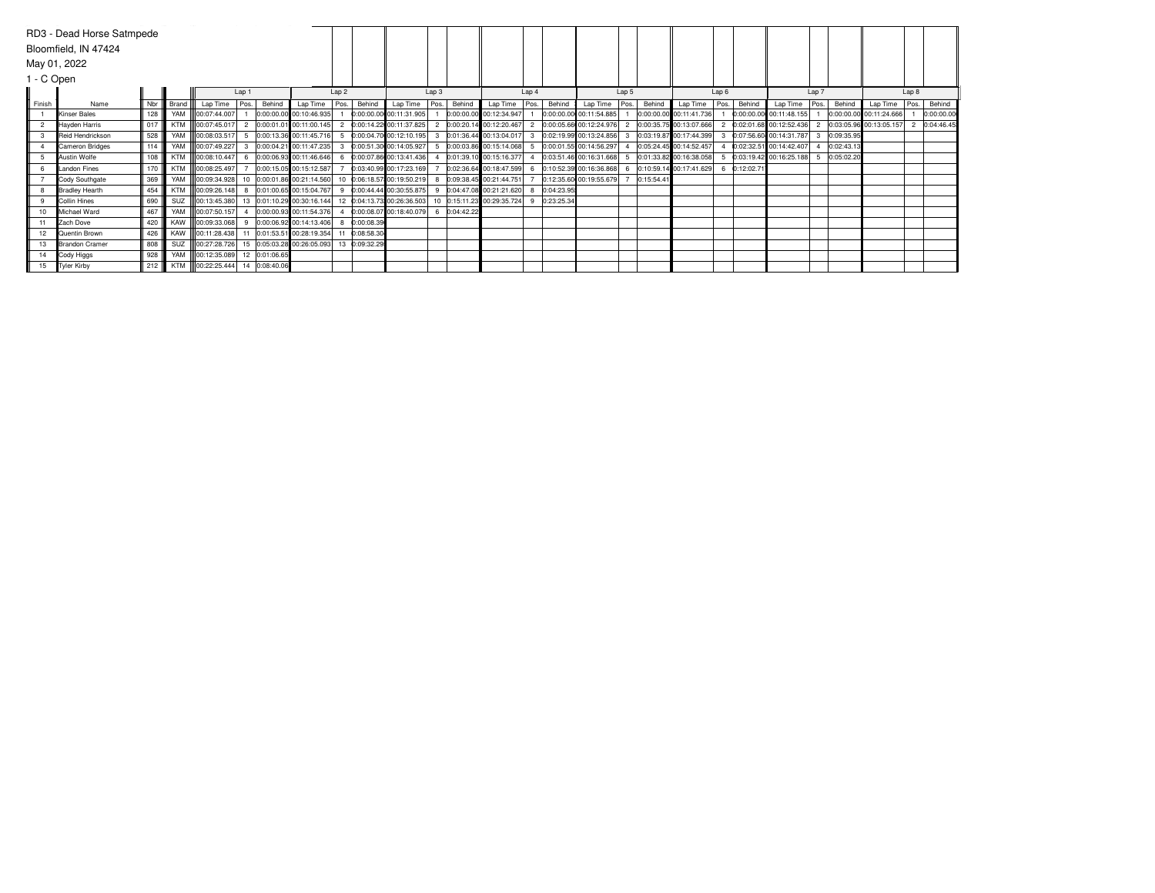|                | RD3 - Dead Horse Satmpede |     |            |                                |       |        |                                            |                  |               |                                                                                               |                  |        |                             |                |            |                         |                |            |                           |                  |            |                         |       |            |                         |       |            |
|----------------|---------------------------|-----|------------|--------------------------------|-------|--------|--------------------------------------------|------------------|---------------|-----------------------------------------------------------------------------------------------|------------------|--------|-----------------------------|----------------|------------|-------------------------|----------------|------------|---------------------------|------------------|------------|-------------------------|-------|------------|-------------------------|-------|------------|
|                | Bloomfield, IN 47424      |     |            |                                |       |        |                                            |                  |               |                                                                                               |                  |        |                             |                |            |                         |                |            |                           |                  |            |                         |       |            |                         |       |            |
|                | May 01, 2022              |     |            |                                |       |        |                                            |                  |               |                                                                                               |                  |        |                             |                |            |                         |                |            |                           |                  |            |                         |       |            |                         |       |            |
| 1 - C Open     |                           |     |            |                                |       |        |                                            |                  |               |                                                                                               |                  |        |                             |                |            |                         |                |            |                           |                  |            |                         |       |            |                         |       |            |
|                |                           |     |            |                                | Lap 1 |        |                                            | Lap <sub>2</sub> |               |                                                                                               | Lap <sub>3</sub> |        |                             | Lap 4          |            |                         | Lap 5          |            |                           | Lap <sub>6</sub> |            |                         | Lap 7 |            |                         | Lap 8 |            |
| Finish         | Name                      | Nbr | Brand      | Lap Time                       | Pos.  | Behind | Lap Time                                   | Pos.             | Behind        | Lap Time                                                                                      | Pos.             | Behind | Lap Time Pos.               |                | Behind     | Lap Time                | Pos.           | Behind     | Lap Time                  | Pos.             | Behind     | Lap Time                | Pos.  | Behind     | Lap Time                | Pos.  | Behind     |
|                | <b>Kinser Bales</b>       | 128 | YAM        | 00:07:44.007                   |       |        | 0:00:00.00 00:10:46.935                    |                  |               | 0:00:00.00 00:11:31.905                                                                       |                  |        | 0:00:00.00 00:12:34.947     |                |            | 0:00:00.00 00:11:54.885 |                |            | 0:00:00.00 00:11:41.736   |                  |            | 0:00:00.00 00:11:48.155 |       |            | 0:00:00.00 00:11:24.666 |       | 0:00:00.00 |
| $\overline{2}$ | Hayden Harris             | 017 | <b>KTM</b> | 00:07:45.017                   |       |        | 2 0:00:01.01 00:11:00.145                  |                  |               | 2 0:00:14.22 00:11:37.825                                                                     |                  |        | 2 0:00:20.14 00:12:20.467   | $\overline{2}$ |            | 0:00:05.66 00:12:24.976 | $\overline{2}$ |            | 0:00:35.75 00:13:07.666   |                  |            | 0:02:01.68 00:12:52.436 |       |            | 0:03:05.96 00:13:05.157 |       | 0:04:46.45 |
|                | Reid Hendrickson          | 528 | YAM        |                                |       |        | 00:08:03.517 5 0:00:13.36 00:11:45.716     |                  |               | 5 0:00:04.70 00:12:10.195 3                                                                   |                  |        | $0:01:36.44$ 00:13:04.017 3 |                |            | 0:02:19.99 00:13:24.856 | 3              |            | 0:03:19.87 00:17:44.399   |                  |            | 0:07:56.60 00:14:31.787 | 3     | 0:09:35.95 |                         |       |            |
|                | Cameron Bridges           | 114 |            |                                |       |        | YAM 00:07:49.227 3 0:00:04.21 00:11:47.235 |                  |               | 3 0:00:51.30 00:14:05.927 5                                                                   |                  |        | 0:00:03.86 00:15:14.068 5   |                |            | 0:00:01.55 00:14:56.297 | $\overline{4}$ |            | 0:05:24.45 00:14:52.457   |                  |            | 0:02:32.51 00:14:42.407 |       | 0:02:43.13 |                         |       |            |
|                | Austin Wolfe              | 108 | <b>KTM</b> | $ 00:08:10.447 $ 6             |       |        | 0:00:06.93 00:11:46.646                    |                  |               | 6 0:00:07.86 00:13:41.436                                                                     |                  |        | 0:01:39.10 00:15:16.377     |                |            | 0:03:51.46 00:16:31.668 |                |            | 0:01:33.82 00:16:38.058   |                  |            | 0:03:19.42 00:16:25.188 |       | 0:05:02.20 |                         |       |            |
|                | <b>Landon Fines</b>       | 170 | <b>KTM</b> | 100:08:25.497                  |       |        | 0:00:15.05 00:15:12.587                    |                  |               | 0:03:40.99 00:17:23.169                                                                       |                  |        | 0:02:36.64 00:18:47.599 6   |                |            | 0:10:52.39 00:16:36.868 |                |            | 6 0:10:59.14 00:17:41.629 |                  | 0:12:02.71 |                         |       |            |                         |       |            |
|                | Cody Southgate            | 369 | YAM        |                                |       |        |                                            |                  |               | 00:09:34.928 10 0:00:01.86 00:21:14.560 10 0:06:18.57 00:19:50.219 8                          |                  |        | 0:09:38.45 00:21:44.751     |                |            | 0:12:35.60 00:19:55.679 |                | 0:15:54.41 |                           |                  |            |                         |       |            |                         |       |            |
|                | <b>Bradley Hearth</b>     | 454 | <b>KTM</b> |                                |       |        | 00:09:26.148 8 0:01:00.65 00:15:04.767     |                  |               | 9 0:00:44.44 00:30:55.875 9                                                                   |                  |        | 0:04:47.08 00:21:21.620 8   |                | 0:04:23.95 |                         |                |            |                           |                  |            |                         |       |            |                         |       |            |
|                | <b>Collin Hines</b>       | 690 | SUZ        |                                |       |        |                                            |                  |               | 00:13:45.380 13 0:01:10.29 00:30:16.144 12 0:04:13.73 00:26:36.503 10 0:15:11.23 00:29:35.724 |                  |        |                             | -9             | 0:23:25.34 |                         |                |            |                           |                  |            |                         |       |            |                         |       |            |
| 10             | Michael Ward              | 467 | YAM        | $\parallel$ 00:07:50.157 4     |       |        | 0:00:00.93 00:11:54.376                    | $\overline{4}$   |               | 0:00:08.07 00:18:40.079 6 0:04:42.22                                                          |                  |        |                             |                |            |                         |                |            |                           |                  |            |                         |       |            |                         |       |            |
|                | Zach Dove                 | 420 | KAW        |                                |       |        | 00:09:33.068 9 0:00:06.92 00:14:13.406     | 8                | 0:00:08.39    |                                                                                               |                  |        |                             |                |            |                         |                |            |                           |                  |            |                         |       |            |                         |       |            |
| 12             | <b>Quentin Brown</b>      | 426 | KAW        |                                |       |        | 00:11:28.438 11 0:01:53.51 00:28:19.354    |                  | 0:08:58.30    |                                                                                               |                  |        |                             |                |            |                         |                |            |                           |                  |            |                         |       |            |                         |       |            |
| 13             | <b>IBrandon Cramer</b>    | 808 | <b>SUZ</b> |                                |       |        | 00:27:28.726 15 0:05:03.28 00:26:05.093    |                  | 13 0:09:32.29 |                                                                                               |                  |        |                             |                |            |                         |                |            |                           |                  |            |                         |       |            |                         |       |            |
| 14             | Cody Higgs                | 928 |            | YAM 00:12:35.089 12 0:01:06.65 |       |        |                                            |                  |               |                                                                                               |                  |        |                             |                |            |                         |                |            |                           |                  |            |                         |       |            |                         |       |            |
| 15             | Tyler Kirby               | 212 |            | KTM 00:22:25.444 14 0:08:40.06 |       |        |                                            |                  |               |                                                                                               |                  |        |                             |                |            |                         |                |            |                           |                  |            |                         |       |            |                         |       |            |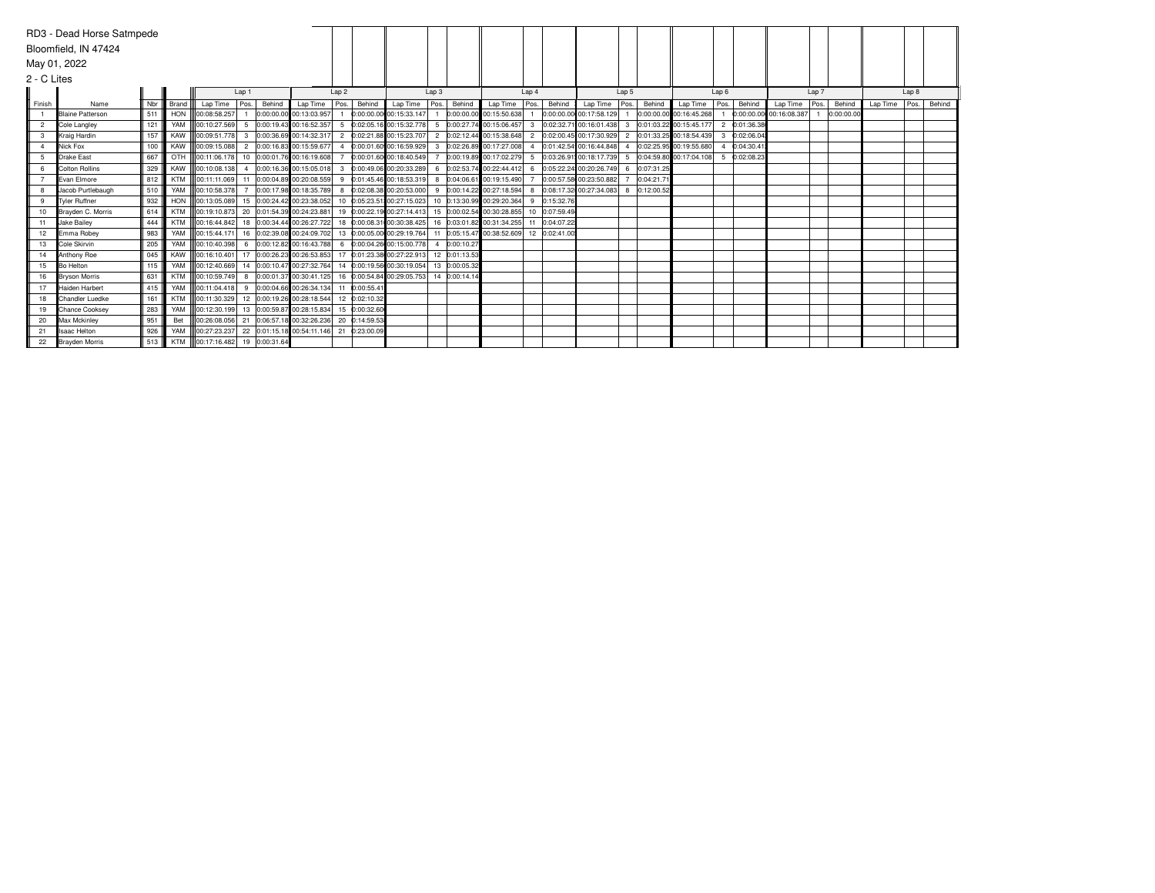|                | RD3 - Dead Horse Satmpede |     |            |                                |                |        |                                                                                  |                  |               |                                                       |                |               |                           |                  |               |                         |                 |            |                           |                |            |                         |       |           |          |       |        |
|----------------|---------------------------|-----|------------|--------------------------------|----------------|--------|----------------------------------------------------------------------------------|------------------|---------------|-------------------------------------------------------|----------------|---------------|---------------------------|------------------|---------------|-------------------------|-----------------|------------|---------------------------|----------------|------------|-------------------------|-------|-----------|----------|-------|--------|
|                | Bloomfield, IN 47424      |     |            |                                |                |        |                                                                                  |                  |               |                                                       |                |               |                           |                  |               |                         |                 |            |                           |                |            |                         |       |           |          |       |        |
| May 01, 2022   |                           |     |            |                                |                |        |                                                                                  |                  |               |                                                       |                |               |                           |                  |               |                         |                 |            |                           |                |            |                         |       |           |          |       |        |
| 2 - C Lites    |                           |     |            |                                |                |        |                                                                                  |                  |               |                                                       |                |               |                           |                  |               |                         |                 |            |                           |                |            |                         |       |           |          |       |        |
|                |                           |     |            |                                | Lap 1          |        |                                                                                  | Lap <sub>2</sub> |               |                                                       | Lap3           |               |                           | Lap <sub>4</sub> |               |                         | Lap 5           |            |                           | Lap6           |            |                         | Lap 7 |           |          | Lap 8 |        |
| Finish         | Name                      | Nbr | Brand      | Lap Time                       | Pos.           | Behind | Lap Time                                                                         | Pos.             | Behind        | Lap Time   Pos.   Behind                              |                |               | Lap Time                  | Pos.             | Behind        | Lap Time                | $\sqrt{P}$ Pos. | Behind     | Lap Time                  | Pos.           | Behind     | Lap Time                | Pos.  | Behind    | Lap Time | Pos.  | Behind |
|                | <b>Blaine Patterson</b>   | 511 | HON        | 00:08:58.257                   |                |        | 0:00:00.00 00:13:03.957                                                          |                  |               | 0:00:00.00 00:15:33.147                               |                |               | 0:00:00.00 00:15:50.638   |                  |               | 0:00:00.00 00:17:58.129 |                 |            | 0:00:00.00 00:16:45.268   |                |            | 0:00:00.00 00:16:08.387 |       | 0:00:00.0 |          |       |        |
| $\overline{2}$ | Cole Langley              | 121 | YAM        | lloo:10:27.569                 |                |        | 5 0:00:19.43 00:16:52.357                                                        |                  |               | 5 0:02:05.16 00:15:32.778                             |                |               | 5 0:00:27.74 00:15:06.457 | $\mathbf{3}$     |               | 0:02:32.71 00:16:01.438 | 3               |            | 0:01:03.22 00:15:45.177   | $\overline{2}$ | 0:01:36.38 |                         |       |           |          |       |        |
| 3              | Kraig Hardin              | 157 | KAW        | lloo:09:51.778                 | $\mathbf{3}$   |        | 0:00:36.69 00:14:32.317                                                          |                  |               | 2 0:02:21.88 00:15:23.707                             |                |               | 2 0:02:12.44 00:15:38.648 | $\overline{2}$   |               | 0:02:00.45 00:17:30.929 | $\overline{2}$  |            | 0:01:33.25 00:18:54.439 3 |                | 0:02:06.04 |                         |       |           |          |       |        |
|                | <b>Nick Fox</b>           | 100 | KAW        | lloo:09:15.088l                | $\overline{2}$ |        | 0:00:16.83 00:15:59.677                                                          | $\Delta$         |               | 0:00:01.60 00:16:59.929                               |                |               | 3 0:02:26.89 00:17:27.008 | $\Delta$         |               | 0:01:42.54 00:16:44.848 |                 |            | 0:02:25.95 00:19:55.680   |                | 0:04:30.41 |                         |       |           |          |       |        |
| 5              | <b>Drake East</b>         | 667 | OTH        | 100:11:06.178                  |                |        | 10 0:00:01.76 00:16:19.608                                                       |                  |               | 0:00:01.60 00:18:40.549                               |                |               | 0:00:19.89 00:17:02.279   |                  |               | 0:03:26.91 00:18:17.739 |                 |            | 0:04:59.80 00:17:04.108 5 |                | 0:02:08.23 |                         |       |           |          |       |        |
| 6              | <b>Colton Rollins</b>     | 329 | KAW        | 100:10:08.138                  | $\overline{4}$ |        | 0:00:16.36 00:15:05.018                                                          | 3                |               | 0:00:49.06 00:20:33.289                               | $6^{\circ}$    |               | 0:02:53.74 00:22:44.412   | 6                |               | 0:05:22.24 00:20:26.749 | $6^{\circ}$     | 0:07:31.25 |                           |                |            |                         |       |           |          |       |        |
|                | <b>Evan Elmore</b>        | 812 | <b>KTM</b> |                                |                |        | 00:11:11.069 11 0:00:04.89 00:20:08.559                                          |                  |               | 9 0:01:45.46 00:18:53.319                             |                |               | 8 0:04:06.61 00:19:15.490 |                  |               | 0:00:57.58 00:23:50.882 |                 | 0:04:21.7  |                           |                |            |                         |       |           |          |       |        |
|                | Uacob Purtlebaugh         | 510 | YAM        | <b>II</b> 00:10:58.378         |                |        | 0:00:17.98 00:18:35.789                                                          | 8                |               | 0:02:08.38 00:20:53.000                               |                |               | 9 0:00:14.22 00:27:18.594 | 8                |               | 0:08:17.32 00:27:34.083 | 8               | 0:12:00.52 |                           |                |            |                         |       |           |          |       |        |
| 9              | <b>Tvler Ruffner</b>      | 932 | <b>HON</b> | 100:13:05.089                  |                |        | 15 0:00:24.42 00:23:38.052                                                       |                  |               | 10 0:05:23.51 00:27:15.023 10 0:13:30.99 00:29:20.364 |                |               |                           | 9                | 0:15:32.76    |                         |                 |            |                           |                |            |                         |       |           |          |       |        |
| 10             | Brayden C. Morris         | 614 | <b>KTM</b> |                                |                |        | 00:19:10.873 20 0:01:54.39 00:24:23.881                                          |                  |               | 19 0:00:22.19 00:27:14.413 15 0:00:02.54 00:30:28.855 |                |               |                           |                  | 10 0:07:59.49 |                         |                 |            |                           |                |            |                         |       |           |          |       |        |
| 11             | <b>Jake Bailev</b>        | 444 | <b>KTM</b> | 00:16:44.842                   |                |        | 18 0:00:34.44 00:26:27.722                                                       |                  |               | 18 0:00:08.31 00:30:38.425 16 0:03:01.82 00:31:34.255 |                |               |                           | 11               | 0:04:07.22    |                         |                 |            |                           |                |            |                         |       |           |          |       |        |
| 12             | <b>IEmma Robev</b>        | 983 | YAM        | 100:15:44.171                  |                |        | 16 0:02:39.08 00:24:09.702 13 0:00:05.00 00:29:19.764 11 0:05:15.47 00:38:52.609 |                  |               |                                                       |                |               |                           |                  | 12 0:02:41.00 |                         |                 |            |                           |                |            |                         |       |           |          |       |        |
| 13             | <b>Cole Skirvin</b>       | 205 | YAM        | lloo:10:40.398l                | $6^{\circ}$    |        | 0:00:12.82 00:16:43.788                                                          |                  |               | 6 0:00:04.26 00:15:00.778                             | $\overline{4}$ | 0:00:10.27    |                           |                  |               |                         |                 |            |                           |                |            |                         |       |           |          |       |        |
| 14             | Anthony Roe               | 045 | KAW        | lloo:16:10.401l                |                |        | 17 0:00:26.23 00:26:53.853                                                       |                  |               | 17 0:01:23.38 00:27:22.913                            |                | 12 0:01:13.53 |                           |                  |               |                         |                 |            |                           |                |            |                         |       |           |          |       |        |
| 15             | <b>Bo Helton</b>          | 115 | YAM        | 100:12:40.669                  |                |        | 14 0:00:10.47 00:27:32.764                                                       |                  |               | 14 0:00:19.56 00:30:19.054 13 0:00:05.32              |                |               |                           |                  |               |                         |                 |            |                           |                |            |                         |       |           |          |       |        |
| 16             | <b>Bryson Morris</b>      | 631 | <b>KTM</b> | lloo:10:59.749                 | 8              |        | 0:00:01.37 00:30:41.125                                                          |                  |               | 16 0:00:54.84 00:29:05.753 14 0:00:14.14              |                |               |                           |                  |               |                         |                 |            |                           |                |            |                         |       |           |          |       |        |
| 17             | Haiden Harbert            | 415 | YAM        |                                |                |        | 00:11:04.418  9  0:00:04.66  00:26:34.134                                        |                  | 11 0:00:55.41 |                                                       |                |               |                           |                  |               |                         |                 |            |                           |                |            |                         |       |           |          |       |        |
| 18             | <b>IChandler Luedke</b>   | 161 | <b>KTM</b> | 100:11:30.329                  |                |        | 12 0:00:19.26 00:28:18.544                                                       |                  | 12 0:02:10.32 |                                                       |                |               |                           |                  |               |                         |                 |            |                           |                |            |                         |       |           |          |       |        |
| 19             | Chance Cooksev            | 283 | YAM        | 00:12:30.199                   |                |        | 13 0:00:59.87 00:28:15.834                                                       |                  | 15 0:00:32.60 |                                                       |                |               |                           |                  |               |                         |                 |            |                           |                |            |                         |       |           |          |       |        |
| 20             | Max Mckinlev              | 951 | Bet        |                                |                |        | 00:26:08.056 21 0:06:57.18 00:32:26.236                                          |                  | 20 0:14:59.53 |                                                       |                |               |                           |                  |               |                         |                 |            |                           |                |            |                         |       |           |          |       |        |
| 21             | <b>Isaac Helton</b>       | 926 | YAM        | 100:27:23.237                  |                |        | 22 0:01:15.18 00:54:11.146 21 0:23:00.09                                         |                  |               |                                                       |                |               |                           |                  |               |                         |                 |            |                           |                |            |                         |       |           |          |       |        |
| 22             | <b>Brayden Morris</b>     | 513 |            | KTM 00:17:16.482 19 0:00:31.64 |                |        |                                                                                  |                  |               |                                                       |                |               |                           |                  |               |                         |                 |            |                           |                |            |                         |       |           |          |       |        |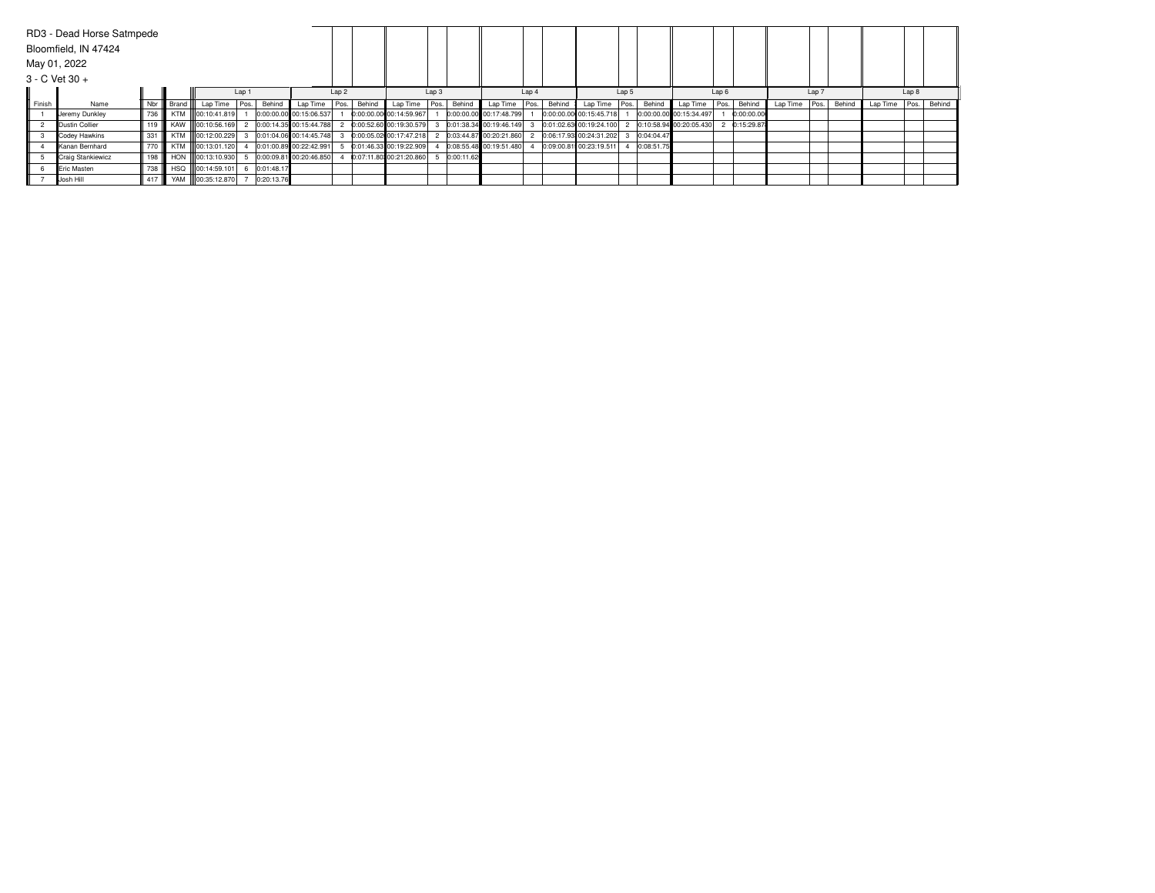|        | RD3 - Dead Horse Satmpede<br>Bloomfield, IN 47424 |     |       |                     |       |            |                         |                  |        |                         |      |             |                         |       |        |                         |       |            |                         |                  |            |          |                  |        |               |       |        |
|--------|---------------------------------------------------|-----|-------|---------------------|-------|------------|-------------------------|------------------|--------|-------------------------|------|-------------|-------------------------|-------|--------|-------------------------|-------|------------|-------------------------|------------------|------------|----------|------------------|--------|---------------|-------|--------|
|        | May 01, 2022                                      |     |       |                     |       |            |                         |                  |        |                         |      |             |                         |       |        |                         |       |            |                         |                  |            |          |                  |        |               |       |        |
|        | $3 - C$ Vet $30 +$                                |     |       |                     |       |            |                         |                  |        |                         |      |             |                         |       |        |                         |       |            |                         |                  |            |          |                  |        |               |       |        |
|        |                                                   |     |       |                     | Lap 1 |            |                         | Lap <sub>2</sub> |        |                         | Lap3 |             |                         | Lap 4 |        |                         | Lap 5 |            |                         | Lap <sub>6</sub> |            |          | Lap <sub>7</sub> |        |               | Lap 8 |        |
| Finish | Name                                              | Nbr | Brand | Lap Time            | Pos.  | Behind     | Lap Time   Pos.         |                  | Behind | Lap Time                |      | Pos. Behind | Lap Time                | Pos.  | Behind | Lap Time                | Pos.  | Behind     | Lap Time Pos.           |                  | Behinc     | Lap Time | Pos.             | Behind | Lap Time Pos. |       | Behind |
|        | Jeremy Dunkley                                    | 736 |       | KTM III00:10:41.819 |       |            | 0:00:00.00 00:15:06.537 |                  |        | 0:00:00.00 00:14:59.967 |      |             | 0:00:00.00 00:17:48.799 |       |        | 0:00:00.00 00:15:45.718 |       |            | 0:00:00.00 00:15:34.497 |                  | 0:00:00.00 |          |                  |        |               |       |        |
|        | Dustin Collier                                    | 119 |       | KAW 100:10:56.169   |       |            | 0:00:14.35 00:15:44.788 |                  |        | 0:00:52.60 00:19:30.579 |      |             | 0:01:38.34 00:19:46.149 |       |        | 0:01:02.63 00:19:24.100 |       |            | 0:10:58.94 00:20:05.430 |                  | 0:15:29.87 |          |                  |        |               |       |        |
|        | Codey Hawkins                                     | 331 |       | KTM III00:12:00.229 |       |            | 0:01:04.06 00:14:45.748 |                  |        | 0:00:05.02 00:17:47.218 |      |             | 0:03:44.87 00:20:21.860 |       |        | 0:06:17.93 00:24:31.202 |       | 0:04:04.47 |                         |                  |            |          |                  |        |               |       |        |
|        | Kanan Bernhard                                    | 770 |       | KTM 00:13:01.120    |       |            | 0:01:00.89 00:22:42.991 |                  |        | 0:01:46.33 00:19:22.909 |      |             | 0:08:55.48 00:19:51.480 |       |        | 0:09:00.81 00:23:19.511 |       | 0:08:51.75 |                         |                  |            |          |                  |        |               |       |        |
|        | Craig Stankiewicz                                 | 198 |       | HON III00:13:10.930 |       |            | 0:00:09.81 00:20:46.850 |                  |        | 0:07:11.80 00:21:20.860 |      | 0:00:11.62  |                         |       |        |                         |       |            |                         |                  |            |          |                  |        |               |       |        |
|        | <b>Eric Masten</b>                                | 738 |       | HSQ 100:14:59.101   |       | 0:01:48.17 |                         |                  |        |                         |      |             |                         |       |        |                         |       |            |                         |                  |            |          |                  |        |               |       |        |
|        | Josh Hill                                         | 417 |       | YAM 00:35:12.870    |       | 0:20:13.76 |                         |                  |        |                         |      |             |                         |       |        |                         |       |            |                         |                  |            |          |                  |        |               |       |        |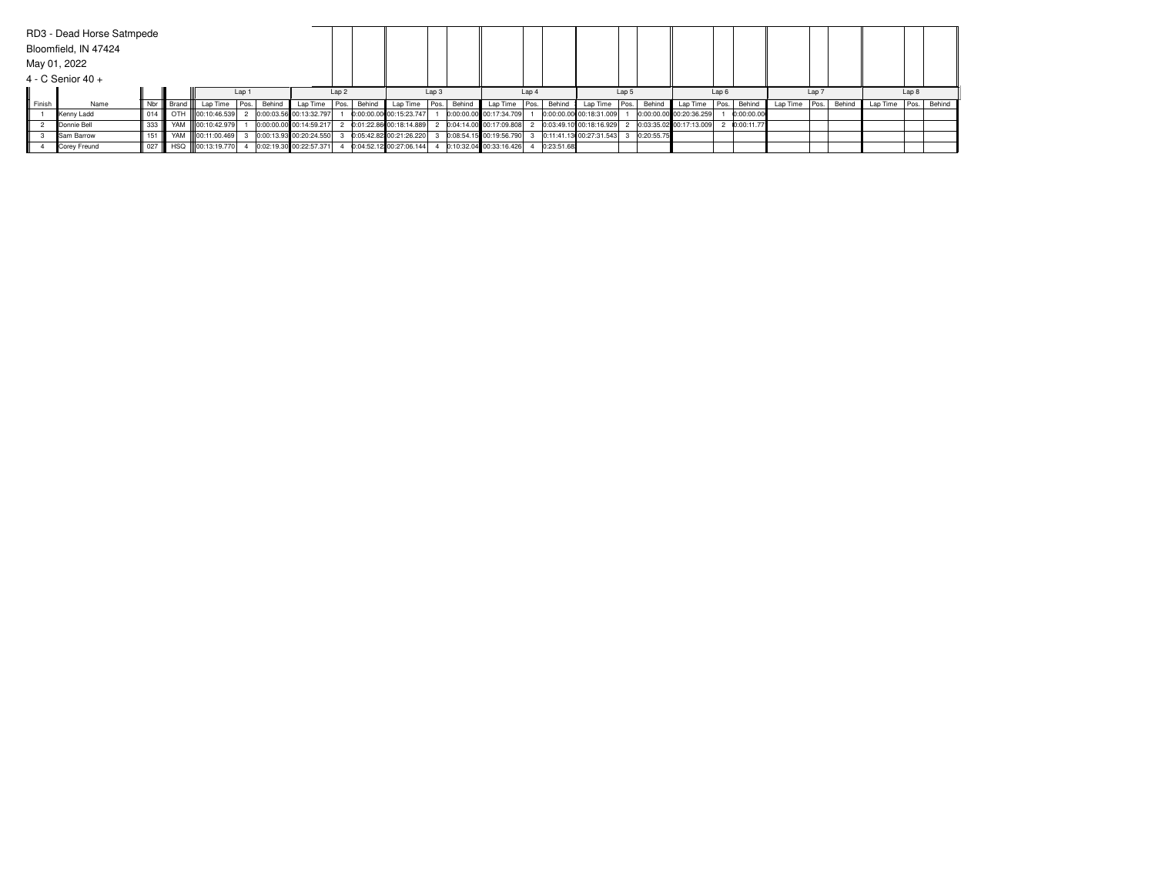|              | RD3 - Dead Horse Satmpede |       |           |                     |      |        |                         |                  |        |                         |                  |        |                         |                  |            |                         |       |            |                         |                  |            |                 |                  |        |               |       |        |
|--------------|---------------------------|-------|-----------|---------------------|------|--------|-------------------------|------------------|--------|-------------------------|------------------|--------|-------------------------|------------------|------------|-------------------------|-------|------------|-------------------------|------------------|------------|-----------------|------------------|--------|---------------|-------|--------|
|              | Bloomfield, IN 47424      |       |           |                     |      |        |                         |                  |        |                         |                  |        |                         |                  |            |                         |       |            |                         |                  |            |                 |                  |        |               |       |        |
| May 01, 2022 |                           |       |           |                     |      |        |                         |                  |        |                         |                  |        |                         |                  |            |                         |       |            |                         |                  |            |                 |                  |        |               |       |        |
|              | 4 - C Senior 40 +         |       |           |                     |      |        |                         |                  |        |                         |                  |        |                         |                  |            |                         |       |            |                         |                  |            |                 |                  |        |               |       |        |
|              |                           |       |           |                     | Lap  |        |                         | Lap <sub>2</sub> |        |                         | Lap <sub>3</sub> |        |                         | Lap <sub>4</sub> |            |                         | Lap 5 |            |                         | Lap <sub>6</sub> |            |                 | Lap <sub>7</sub> |        |               | Lap 8 |        |
| Finish       | Name                      | Nbr   | Brand III | Lap Time            | Pos. | Behind | Lap Time   Pos.         |                  | Behind | Lap Time                | Pos.             | Behind | Lap Time Pos.           |                  | Behind     | Lap Time Pos.           |       | Behind     | Lap Time Pos.           |                  | Behind     | Lap Time   Pos. |                  | Behind | Lap Time Pos. |       | Behind |
|              | Kenny Ladd                | 014   |           | OTH 00:10:46.539    |      |        | 0:00:03.56 00:13:32.797 |                  |        | 0:00:00.00 00:15:23.747 |                  |        | 0:00:00.00 00:17:34.709 |                  |            | 0:00:00.00 00:18:31.009 |       |            | 0:00:00.00 00:20:36.259 |                  | 0:00:00.00 |                 |                  |        |               |       |        |
|              | Donnie Bell               | 333   |           | YAM 100:10:42.979   |      |        | 0:00:00.00 00:14:59.217 |                  |        | 0:01:22.86 00:18:14.889 |                  |        | 0:04:14.00 00:17:09.808 |                  |            | 0:03:49.10 00:18:16.929 |       |            | 0:03:35.02 00:17:13.009 |                  | 0:00:11.77 |                 |                  |        |               |       |        |
|              | <b>Sam Barrow</b>         | 151   |           | YAM III00:11:00.469 |      |        | 0:00:13.93 00:20:24.550 |                  |        | 0:05:42.82 00:21:26.220 |                  |        | 0:08:54.15 00:19:56.790 |                  |            | 0:11:41.13 00:27:31.543 |       | 0:20:55.75 |                         |                  |            |                 |                  |        |               |       |        |
|              | Corey Freund              | $027$ |           | HSQ 00:13:19.770    |      |        | 0:02:19.30 00:22:57.371 |                  |        | 0:04:52.12 00:27:06.144 |                  |        | 0:10:32.04 00:33:16.426 |                  | 0:23:51.68 |                         |       |            |                         |                  |            |                 |                  |        |               |       |        |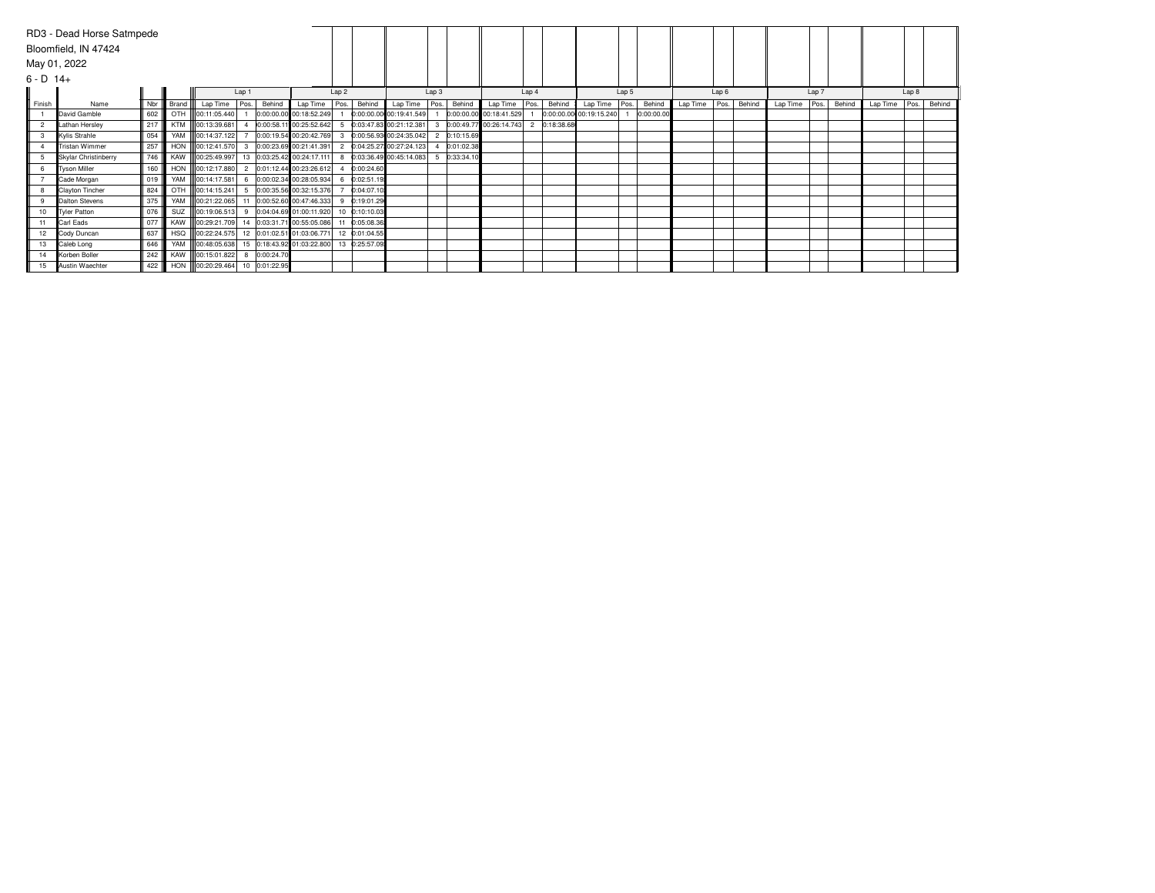|             | RD3 - Dead Horse Satmpede |     |       |                                |       |            |                                             |                  |               |                           |                |            |                         |                |            |                         |       |            |          |                  |        |          |                  |        |          |       |        |
|-------------|---------------------------|-----|-------|--------------------------------|-------|------------|---------------------------------------------|------------------|---------------|---------------------------|----------------|------------|-------------------------|----------------|------------|-------------------------|-------|------------|----------|------------------|--------|----------|------------------|--------|----------|-------|--------|
|             | Bloomfield, IN 47424      |     |       |                                |       |            |                                             |                  |               |                           |                |            |                         |                |            |                         |       |            |          |                  |        |          |                  |        |          |       |        |
|             | May 01, 2022              |     |       |                                |       |            |                                             |                  |               |                           |                |            |                         |                |            |                         |       |            |          |                  |        |          |                  |        |          |       |        |
|             |                           |     |       |                                |       |            |                                             |                  |               |                           |                |            |                         |                |            |                         |       |            |          |                  |        |          |                  |        |          |       |        |
| $6 - D$ 14+ |                           |     |       |                                |       |            |                                             |                  |               |                           |                |            |                         |                |            |                         |       |            |          |                  |        |          |                  |        |          |       |        |
|             |                           |     |       |                                | Lap 1 |            |                                             | Lap <sub>2</sub> |               |                           | Lap 3          |            |                         | Lap 4          |            |                         | Lap 5 |            |          | Lap <sub>6</sub> |        |          | Lap <sub>7</sub> |        |          | Lap 8 |        |
| Finish      | Name                      | Nbr | Brand | Lap Time                       | Pos.  | Behind     | Lap Time                                    | Pos.             | Behind        | Lap Time                  | Pos.           | Behind     | Lap Time                | Pos.           | Behind     | Lap Time                | Pos.  | Behind     | Lap Time | Pos.             | Behind | Lap Time | Pos.             | Behind | Lap Time | Pos.  | Behind |
|             | David Gamble              | 602 | OTH   | 00:11:05.440                   |       |            | 0:00:00.00 00:18:52.249                     |                  |               | 0:00:00.00 00:19:41.549   |                |            | 0:00:00.00 00:18:41.529 |                |            | 0:00:00.00 00:19:15.240 |       | 0:00:00.00 |          |                  |        |          |                  |        |          |       |        |
|             | Lathan Hersley            | 217 |       | KTM 00:13:39.681               |       |            | 0:00:58.11 00:25:52.642                     |                  |               | 0:03:47.83 00:21:12.381   |                |            | 0:00:49.77 00:26:14.743 | $\overline{2}$ | 0:18:38.68 |                         |       |            |          |                  |        |          |                  |        |          |       |        |
| 3           | Kylis Strahle             | 054 | YAM   | 100:14:37.122                  |       |            | 0:00:19.54 00:20:42.769                     |                  |               | 0:00:56.93 00:24:35.042   | $\overline{2}$ | 0:10:15.69 |                         |                |            |                         |       |            |          |                  |        |          |                  |        |          |       |        |
|             | Tristan Wimmer            | 257 |       | HON 00:12:41.570               | 3     |            | 0:00:23.69 00:21:41.391                     |                  |               | 2 0:04:25.27 00:27:24.123 |                | 0:01:02.38 |                         |                |            |                         |       |            |          |                  |        |          |                  |        |          |       |        |
|             | Skylar Christinberry      | 746 |       | KAW 00:25:49.997               |       |            | 13 0:03:25.42 00:24:17.111                  |                  |               | 0:03:36.49 00:45:14.083   |                | 0:33:34.10 |                         |                |            |                         |       |            |          |                  |        |          |                  |        |          |       |        |
| 6           | Tyson Miller              | 160 |       | HON 00:12:17.880               |       |            | 0:01:12.44 00:23:26.612                     |                  | 0:00:24.60    |                           |                |            |                         |                |            |                         |       |            |          |                  |        |          |                  |        |          |       |        |
|             | Cade Morgan               | 019 |       | YAM 00:14:17.581               | 6     |            | 0:00:02.34 00:28:05.934                     |                  | 0:02:51.19    |                           |                |            |                         |                |            |                         |       |            |          |                  |        |          |                  |        |          |       |        |
|             | Clayton Tincher           | 824 | OTH   | 00:14:15.241                   |       |            | 5 0:00:35.56 00:32:15.376                   |                  | 0:04:07.10    |                           |                |            |                         |                |            |                         |       |            |          |                  |        |          |                  |        |          |       |        |
| 9           | Dalton Stevens            | 375 |       |                                |       |            | YAM 00:21:22.065 11 0:00:52.60 00:47:46.333 | q                | 0:19:01.29    |                           |                |            |                         |                |            |                         |       |            |          |                  |        |          |                  |        |          |       |        |
| 10          | Tyler Patton              | 076 | SUZ   | 00:19:06.513                   | 9     |            | 0:04:04.69 01:00:11.920                     | 10               | 0:10:10.03    |                           |                |            |                         |                |            |                         |       |            |          |                  |        |          |                  |        |          |       |        |
| 11          | Carl Eads                 | 077 |       | KAW 00:29:21.709               |       |            | 14 0:03:31.71 00:55:05.086                  | 11               | 0:05:08.36    |                           |                |            |                         |                |            |                         |       |            |          |                  |        |          |                  |        |          |       |        |
| 12          | Cody Duncan               | 637 |       |                                |       |            | HSQ 00:22:24.575 12 0:01:02.51 01:03:06.771 |                  | 12 0:01:04.55 |                           |                |            |                         |                |            |                         |       |            |          |                  |        |          |                  |        |          |       |        |
| 13          | Caleb Long                | 646 |       | YAM 00:48:05.638               |       |            | 15 0:18:43.92 01:03:22.800                  |                  | 13 0:25:57.09 |                           |                |            |                         |                |            |                         |       |            |          |                  |        |          |                  |        |          |       |        |
| 14          | Korben Boller             | 242 |       | KAW 00:15:01.822               | 8     | 0:00:24.70 |                                             |                  |               |                           |                |            |                         |                |            |                         |       |            |          |                  |        |          |                  |        |          |       |        |
| 15          | Austin Waechter           | 422 |       | HON 00:20:29.464 10 0:01:22.95 |       |            |                                             |                  |               |                           |                |            |                         |                |            |                         |       |            |          |                  |        |          |                  |        |          |       |        |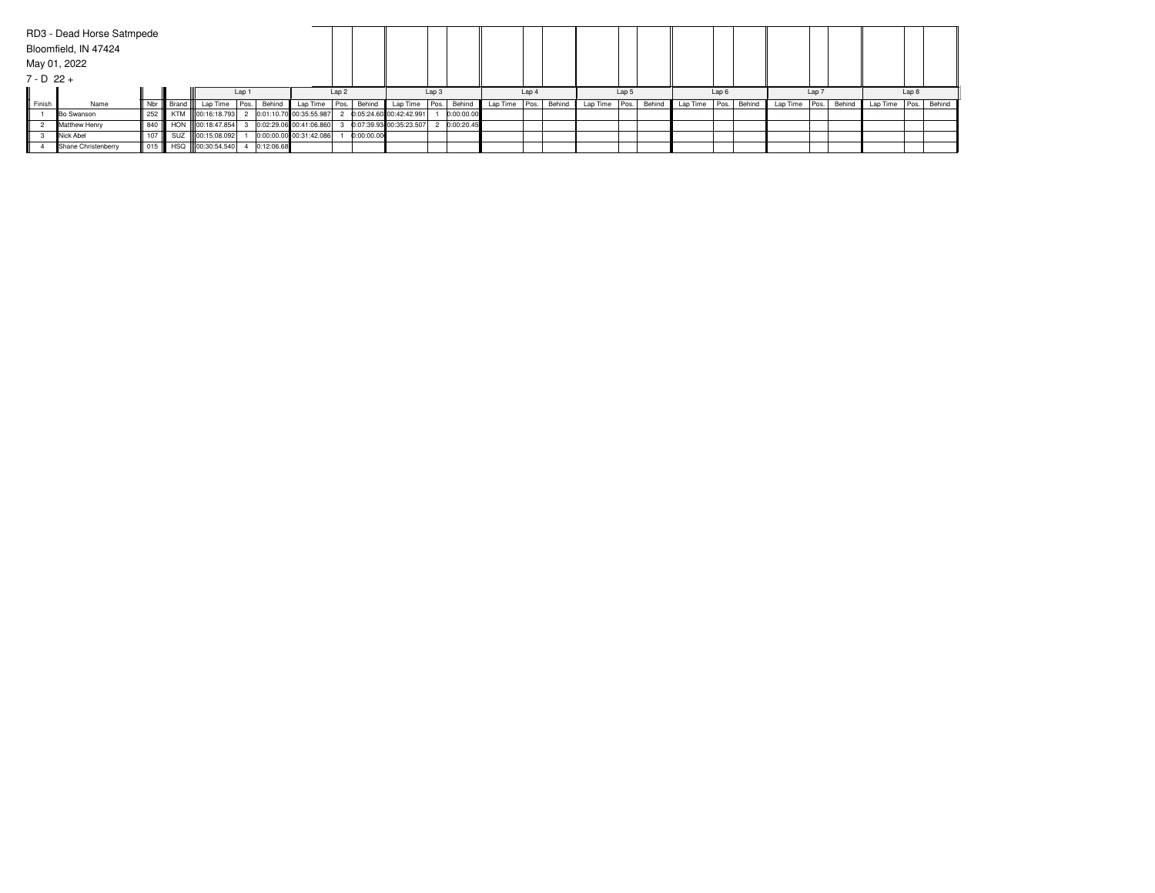|              | RD3 - Dead Horse Satmpede |     |              |                     |       |            |                         |                  |            |                         |       |             |          |       |        |          |       |        |               |       |       |                 |                  |        |               |       |        |
|--------------|---------------------------|-----|--------------|---------------------|-------|------------|-------------------------|------------------|------------|-------------------------|-------|-------------|----------|-------|--------|----------|-------|--------|---------------|-------|-------|-----------------|------------------|--------|---------------|-------|--------|
|              | Bloomfield, IN 47424      |     |              |                     |       |            |                         |                  |            |                         |       |             |          |       |        |          |       |        |               |       |       |                 |                  |        |               |       |        |
|              | May 01, 2022              |     |              |                     |       |            |                         |                  |            |                         |       |             |          |       |        |          |       |        |               |       |       |                 |                  |        |               |       |        |
| $7 - D$ 22 + |                           |     |              |                     |       |            |                         |                  |            |                         |       |             |          |       |        |          |       |        |               |       |       |                 |                  |        |               |       |        |
|              |                           |     |              |                     | Lap 1 |            |                         | Lap <sub>2</sub> |            |                         | Lap 3 |             |          | Lap 4 |        |          | Lap 5 |        |               | Lap 6 |       |                 | Lap <sub>7</sub> |        |               | Lap 8 |        |
| Finish       | Name                      | Nbr | <b>Brand</b> | Lap Time   Pos.     |       | Behind     | Lap Time Pos.           |                  | Behind     | Lap Time                |       | Pos. Behind | Lap Time | Pos.  | Behind | Lap Time | Pos.  | Behind | Lap Time Pos. |       | Behin | Lap Time   Pos. |                  | Behind | Lap Time Pos. |       | Behind |
|              | <b>Bo Swanson</b>         | 252 |              | KTM III00:16:18.793 |       |            | 0:01:10.70 00:35:55.987 |                  |            | 0:05:24.60 00:42:42.991 |       | 0:00:00.00  |          |       |        |          |       |        |               |       |       |                 |                  |        |               |       |        |
|              | Matthew Henry             | 840 |              | HON 00:18:47.854    |       |            | 0:02:29.06 00:41:06.860 |                  |            | 0:07:39.93 00:35:23.507 |       | 0:00:20.45  |          |       |        |          |       |        |               |       |       |                 |                  |        |               |       |        |
|              | Nick Abel                 | 107 |              | SUZ 00:15:08.092    |       |            | 0:00:00.00 00:31:42.086 |                  | 0:00:00.00 |                         |       |             |          |       |        |          |       |        |               |       |       |                 |                  |        |               |       |        |
|              | Shane Christenberry       | 015 |              | HSQ 00:30:54.540    |       | 0:12:06.68 |                         |                  |            |                         |       |             |          |       |        |          |       |        |               |       |       |                 |                  |        |               |       |        |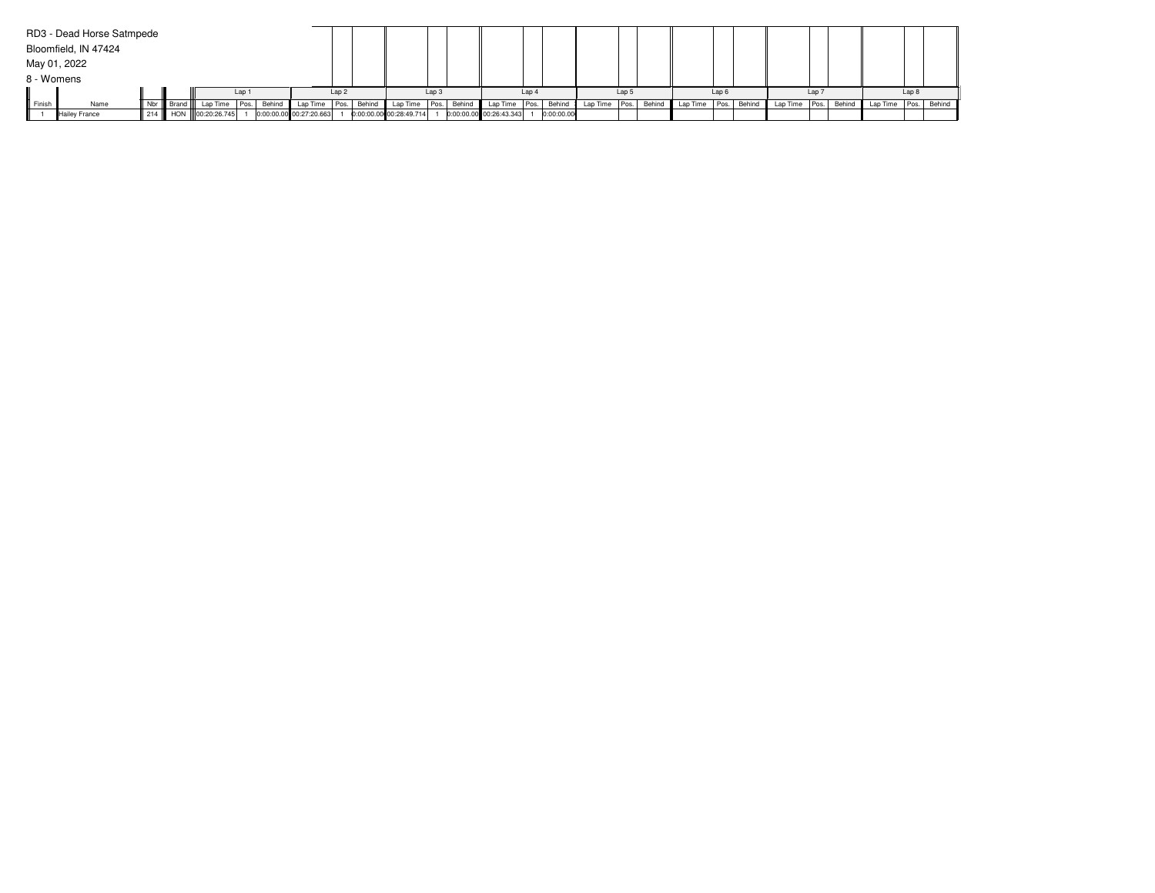|               | RD3 - Dead Horse Satmpede |     |       |                      |       |        |                         |                  |        |                         |                  |        |                         |       |            |                 |                  |        |          |      |             |          |                  |        |                      |       |  |
|---------------|---------------------------|-----|-------|----------------------|-------|--------|-------------------------|------------------|--------|-------------------------|------------------|--------|-------------------------|-------|------------|-----------------|------------------|--------|----------|------|-------------|----------|------------------|--------|----------------------|-------|--|
|               | Bloomfield, IN 47424      |     |       |                      |       |        |                         |                  |        |                         |                  |        |                         |       |            |                 |                  |        |          |      |             |          |                  |        |                      |       |  |
|               | May 01, 2022              |     |       |                      |       |        |                         |                  |        |                         |                  |        |                         |       |            |                 |                  |        |          |      |             |          |                  |        |                      |       |  |
| 8 - Womens    |                           |     |       |                      |       |        |                         |                  |        |                         |                  |        |                         |       |            |                 |                  |        |          |      |             |          |                  |        |                      |       |  |
|               |                           |     |       |                      | Lap 1 |        |                         | Lap <sub>2</sub> |        |                         | Lap <sub>3</sub> |        |                         | Lap 4 |            |                 | Lap <sub>5</sub> |        |          | Lap6 |             |          | Lap <sup>'</sup> |        |                      | Lap 8 |  |
| <b>Finish</b> | Name                      | Nbr | Brand | Lap Time             | Pos.  | Behind | Lap Time                | Pos.             | Behind | Lap Time                | Pos.             | Behind | Lap Time Pos.           |       | Behind     | Lap Time   Pos. |                  | Behind | Lap Time |      | Pos. Behind | Lap Time | Pos.             | Behind | Lap Time Pos. Behind |       |  |
|               | Hailev France             |     |       | 214 HON 00:20:26.745 |       |        | 0:00:00.00 00:27:20.663 |                  |        | 0:00:00.00 00:28:49.714 |                  |        | 0:00:00.00 00:26:43.343 |       | 0:00:00.00 |                 |                  |        |          |      |             |          |                  |        |                      |       |  |